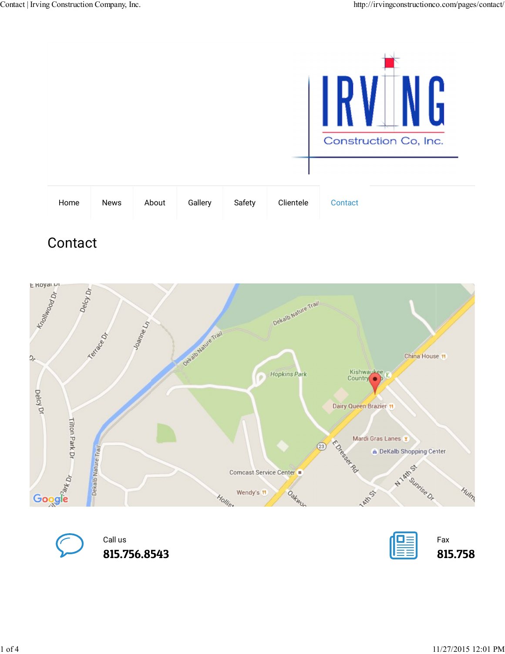

## **Contact**



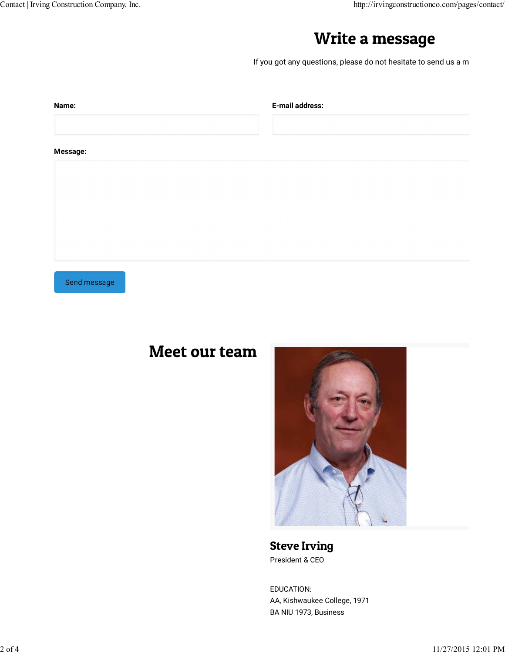## Write a message

| Write a message                                                 |
|-----------------------------------------------------------------|
|                                                                 |
| If you got any questions, please do not hesitate to send us a m |
|                                                                 |
| E-mail address:                                                 |
|                                                                 |
|                                                                 |
|                                                                 |
|                                                                 |
|                                                                 |
|                                                                 |

Send message

## Meet our team



Steve Irving President & CEO

EDUCATION: AA, Kishwaukee College, 1971 BA NIU 1973, Business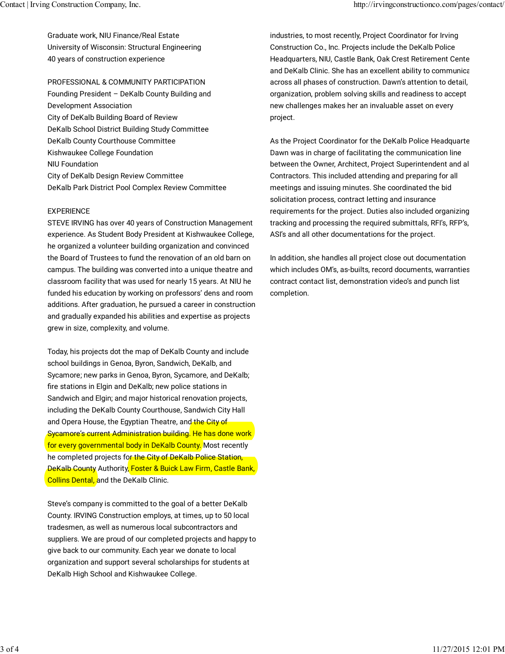Graduate work, NIU Finance/Real Estate University of Wisconsin: Structural Engineering 40 years of construction experience

PROFESSIONAL & COMMUNITY PARTICIPATION Founding President – DeKalb County Building and Development Association City of DeKalb Building Board of Review DeKalb School District Building Study Committee DeKalb County Courthouse Committee Kishwaukee College Foundation NIU Foundation City of DeKalb Design Review Committee DeKalb Park District Pool Complex Review Committee

## EXPERIENCE

STEVE IRVING has over 40 years of Construction Management experience. As Student Body President at Kishwaukee College, he organized a volunteer building organization and convinced the Board of Trustees to fund the renovation of an old barn on campus. The building was converted into a unique theatre and classroom facility that was used for nearly 15 years. At NIU he funded his education by working on professors' dens and room additions. After graduation, he pursued a career in construction and gradually expanded his abilities and expertise as projects grew in size, complexity, and volume.

Today, his projects dot the map of DeKalb County and include school buildings in Genoa, Byron, Sandwich, DeKalb, and Sycamore; new parks in Genoa, Byron, Sycamore, and DeKalb; fire stations in Elgin and DeKalb; new police stations in Sandwich and Elgin; and major historical renovation projects, including the DeKalb County Courthouse, Sandwich City Hall and Opera House, the Egyptian Theatre, and the City of Sycamore's current Administration building. He has done work for every governmental body in DeKalb County. Most recently he completed projects for the City of DeKalb Police Station, DeKalb County Authority, Foster & Buick Law Firm, Castle Bank, Collins Dental, and the DeKalb Clinic.

Steve's company is committed to the goal of a better DeKalb County. IRVING Construction employs, at times, up to 50 local tradesmen, as well as numerous local subcontractors and suppliers. We are proud of our completed projects and happy to give back to our community. Each year we donate to local organization and support several scholarships for students at DeKalb High School and Kishwaukee College.

industries, to most recently, Project Coordinator for Irving Construction Co., Inc. Projects include the DeKalb Police Headquarters, NIU, Castle Bank, Oak Crest Retirement Center and DeKalb Clinic. She has an excellent ability to communicate across all phases of construction. Dawn's attention to detail, organization, problem solving skills and readiness to accept new challenges makes her an invaluable asset on every project.

As the Project Coordinator for the DeKalb Police Headquarte Dawn was in charge of facilitating the communication line between the Owner, Architect, Project Superintendent and all Contractors. This included attending and preparing for all meetings and issuing minutes. She coordinated the bid solicitation process, contract letting and insurance requirements for the project. Duties also included organizing, tracking and processing the required submittals, RFI's, RFP's, ASI's and all other documentations for the project.

In addition, she handles all project close out documentation which includes OM's, as-builts, record documents, warranties contract contact list, demonstration video's and punch list completion.